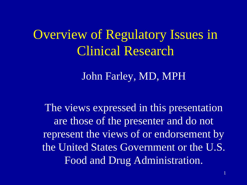## Overview of Regulatory Issues in Clinical Research

John Farley, MD, MPH

The views expressed in this presentation are those of the presenter and do not represent the views of or endorsement by the United States Government or the U.S. Food and Drug Administration.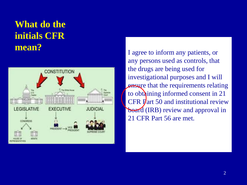### **What do the initials CFR mean? If a green to inform any patients, or**



I agree to inform any patients, or any persons used as controls, that the drugs are being used for investigational purposes and I will **ensure that the requirements relating** to obtaining informed consent in 21 CFR Part 50 and institutional review board (IRB) review and approval in 21 CFR Part 56 are met.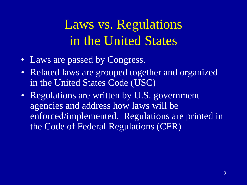## Laws vs. Regulations in the United States

- Laws are passed by Congress.
- Related laws are grouped together and organized in the United States Code (USC)
- Regulations are written by U.S. government agencies and address how laws will be enforced/implemented. Regulations are printed in the Code of Federal Regulations (CFR)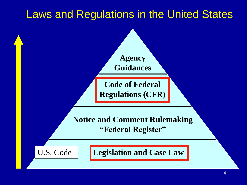## Laws and Regulations in the United States

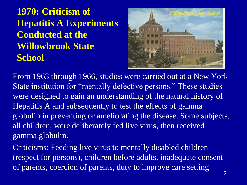**1970: Criticism of Hepatitis A Experiments Conducted at the Willowbrook State School**



From 1963 through 1966, studies were carried out at a New York State institution for "mentally defective persons." These studies were designed to gain an understanding of the natural history of Hepatitis A and subsequently to test the effects of gamma globulin in preventing or ameliorating the disease. Some subjects, all children, were deliberately fed live virus, then received gamma globulin.

Criticisms: Feeding live virus to mentally disabled children (respect for persons), children before adults, inadequate consent of parents, coercion of parents, duty to improve care setting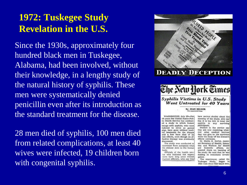### **1972: Tuskegee Study Revelation in the U.S.**

Since the 1930s, approximately four hundred black men in Tuskegee, Alabama, had been involved, without their knowledge, in a lengthy study of the natural history of syphilis. These men were systematically denied penicillin even after its introduction as the standard treatment for the disease.

28 men died of syphilis, 100 men died from related complications, at least 40 wives were infected, 19 children born with congenital syphilis.



**DEADLY DECEPTION** 



Syphilis Victims in U.S. Study Went Untreated for 40 Years

> By JEAN HELLER The Associated Pensa

WASHINGTON, July 25-Fee) 40 years the United States Public Health Service has conducted a study in which human beings with syphilis, who were induced to serve as guinea pigs, have gone without medical treatment for the disease and a fow have died of its late offects, even though an effective therapy was eventually discovered.

The study was conducted to determine from autonsies what the disease does to the human! body. Officials of the health serv-

ice who initiated the experiment have long since retired. Current officials, who say they

have seelous doubts about the morality of the study, also say that it is too late to treat the any serviving syphilis in participants.

Doctors in the service say they are now rendering whatever other medical services they can give to the survivors while the study of the disease's effects continues.

Dr. Merlin K. DuVal, Assistant Secretary of Health, Education and Welfare for Health Scientific Affairs, exand: prested shock on learning of the study. He said that he was making an immediate investigation.

The experiment, called the Taskegee Study, began in 1932 with about 600 black men.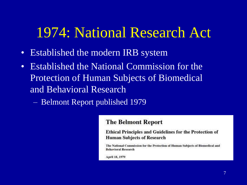## 1974: National Research Act

- Established the modern IRB system
- Established the National Commission for the Protection of Human Subjects of Biomedical and Behavioral Research
	- Belmont Report published 1979

#### **The Belmont Report**

**Ethical Principles and Guidelines for the Protection of Human Subjects of Research** 

The National Commission for the Protection of Human Subjects of Biomedical and **Behavioral Research** 

April 18, 1979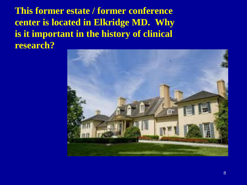**This former estate / former conference center is located in Elkridge MD. Why is it important in the history of clinical research?**

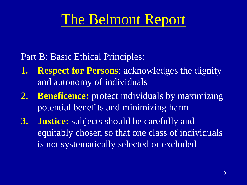## The Belmont Report

Part B: Basic Ethical Principles:

- **1. Respect for Persons**: acknowledges the dignity and autonomy of individuals
- **2. Beneficence:** protect individuals by maximizing potential benefits and minimizing harm
- **3. Justice:** subjects should be carefully and equitably chosen so that one class of individuals is not systematically selected or excluded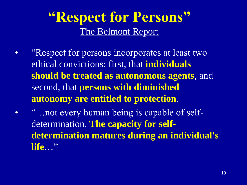## **"Respect for Persons"** The Belmont Report

- "Respect for persons incorporates at least two ethical convictions: first, that **individuals should be treated as autonomous agents**, and second, that **persons with diminished autonomy are entitled to protection**.
- "…not every human being is capable of selfdetermination. **The capacity for selfdetermination matures during an individual's life**…"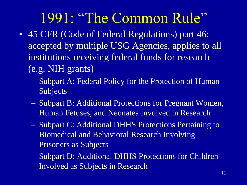## 1991: "The Common Rule"

- 45 CFR (Code of Federal Regulations) part 46: accepted by multiple USG Agencies, applies to all institutions receiving federal funds for research (e.g. NIH grants)
	- Subpart A: Federal Policy for the Protection of Human Subjects
	- Subpart B: Additional Protections for Pregnant Women, Human Fetuses, and Neonates Involved in Research
	- Subpart C: Additional DHHS Protections Pertaining to Biomedical and Behavioral Research Involving Prisoners as Subjects
	- Subpart D: Additional DHHS Protections for Children Involved as Subjects in Research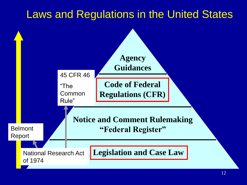## Laws and Regulations in the United States

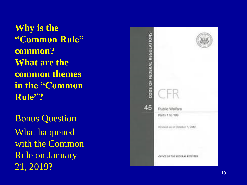**Why is the "Common Rule" common? What are the common themes in the "Common Rule"?**

Bonus Question – What happened with the Common Rule on January 21, 2019?

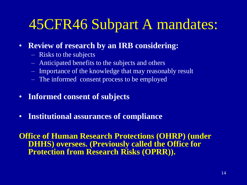## 45CFR46 Subpart A mandates:

- **Review of research by an IRB considering:**
	- Risks to the subjects
	- Anticipated benefits to the subjects and others
	- Importance of the knowledge that may reasonably result
	- The informed consent process to be employed
- **Informed consent of subjects**
- **Institutional assurances of compliance**

**Office of Human Research Protections (OHRP) (under DHHS) oversees. (Previously called the Office for Protection from Research Risks (OPRR)).**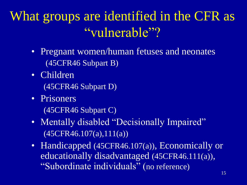## What groups are identified in the CFR as "vulnerable"?

- Pregnant women/human fetuses and neonates (45CFR46 Subpart B)
- Children (45CFR46 Subpart D)
- Prisoners
	- (45CFR46 Subpart C)
- Mentally disabled "Decisionally Impaired" (45CFR46.107(a),111(a))
- Handicapped (45CFR46.107(a)), Economically or educationally disadvantaged (45CFR46.111(a)), "Subordinate individuals" (no reference)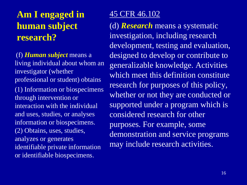### **Am I engaged in human subject research?**

(f) *Human subject* means a living individual about whom an investigator (whether professional or student) obtains (1) Information or biospecimens through intervention or interaction with the individual and uses, studies, or analyses information or biospecimens. (2) Obtains, uses, studies, analyzes or generates identifiable private information or identifiable biospecimens.

### 45 CFR 46.102

(d) *Research* means a systematic investigation, including research development, testing and evaluation, designed to develop or contribute to generalizable knowledge. Activities which meet this definition constitute research for purposes of this policy, whether or not they are conducted or supported under a program which is considered research for other purposes. For example, some demonstration and service programs may include research activities.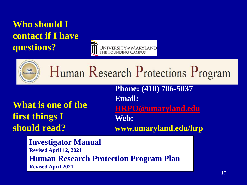### **Who should I contact if I have questions?**





# Human Research Protections Program

## **What is one of the first things I should read?**

**Phone: (410) 706-5037 Email: [HRPO@umaryland.edu](mailto:HRPO@umaryland.edu) Web: www.umaryland.edu/hrp**

**Investigator Manual Revised April 12, 2021 Human Research Protection Program Plan Revised April 2021**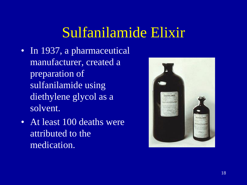## Sulfanilamide Elixir

- In 1937, a pharmaceutical manufacturer, created a preparation of sulfanilamide using diethylene glycol as a solvent.
- At least 100 deaths were attributed to the medication.

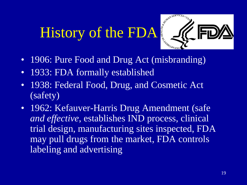# History of the FDA



- 1906: Pure Food and Drug Act (misbranding)
- 1933: FDA formally established
- 1938: Federal Food, Drug, and Cosmetic Act (safety)
- 1962: Kefauver-Harris Drug Amendment (safe *and effective*, establishes IND process, clinical trial design, manufacturing sites inspected, FDA may pull drugs from the market, FDA controls labeling and advertising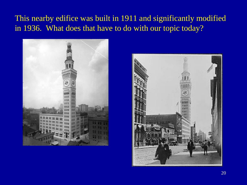### This nearby edifice was built in 1911 and significantly modified in 1936. What does that have to do with our topic today?



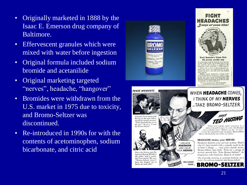- Originally marketed in 1888 by the Isaac E. Emerson drug company of Baltimore.
- Effervescent granules which were mixed with water before ingestion
- Original formula included sodium bromide and acetanilide
- Original marketing targeted "nerves", headache, "hangover"
- Bromides were withdrawn from the U.S. market in 1975 due to toxicity, and Bromo -Seltzer was discontinued.
- Re -introduced in 1990s for with the contents of acetominophen, sodium bicarbonate, and citric acid

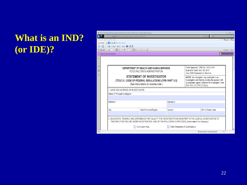### **What is an IND? (or IDE)?**

|                                                                                 |                                                       | http://inside.fda.gov.9003/downloads/Administrative/Forms/FDA/UCM022770.pdf - Windows Internet Explorer                                                                                                                         |  |                                                                                                                                   |                                                                                                      |                                                                                                                                                                                            |                                                   | $\begin{array}{ c c c c c }\hline \multicolumn{1}{ c }{\mathbb{B}} & \multicolumn{1}{ c }{\mathbb{X}}\\ \hline \end{array}$ |
|---------------------------------------------------------------------------------|-------------------------------------------------------|---------------------------------------------------------------------------------------------------------------------------------------------------------------------------------------------------------------------------------|--|-----------------------------------------------------------------------------------------------------------------------------------|------------------------------------------------------------------------------------------------------|--------------------------------------------------------------------------------------------------------------------------------------------------------------------------------------------|---------------------------------------------------|-----------------------------------------------------------------------------------------------------------------------------|
| http://inside.fda.gov.9003/downloads/Administrative/Forms/FDA/UCM022770.pdf     |                                                       |                                                                                                                                                                                                                                 |  |                                                                                                                                   |                                                                                                      | $-4$ $\times 7$ Bing<br>$X \oplus$ Convert $\bullet$ Disele                                                                                                                                |                                                   |                                                                                                                             |
| File Edit Go To Favorites Help<br>Favorites <b>8</b> Google @ Web Slice Gallery |                                                       |                                                                                                                                                                                                                                 |  |                                                                                                                                   |                                                                                                      |                                                                                                                                                                                            |                                                   |                                                                                                                             |
|                                                                                 |                                                       | G - S - 国 - Bage - Safety - Tools - O - 四 周                                                                                                                                                                                     |  |                                                                                                                                   |                                                                                                      |                                                                                                                                                                                            |                                                   |                                                                                                                             |
|                                                                                 |                                                       |                                                                                                                                                                                                                                 |  |                                                                                                                                   |                                                                                                      |                                                                                                                                                                                            |                                                   | Share<br>Comment                                                                                                            |
| Please fill out the following form.                                             |                                                       |                                                                                                                                                                                                                                 |  |                                                                                                                                   |                                                                                                      |                                                                                                                                                                                            |                                                   | <b>B</b> <sup>+</sup> Highlight Existing Fields                                                                             |
|                                                                                 |                                                       |                                                                                                                                                                                                                                 |  |                                                                                                                                   |                                                                                                      |                                                                                                                                                                                            |                                                   |                                                                                                                             |
| Ŷ<br>阐<br>4                                                                     |                                                       |                                                                                                                                                                                                                                 |  | DEPARTMENT OF HEALTH AND HUMAN SERVICES<br>FOOD AND DRUG ADMINISTRATION                                                           | Form Approved: OMB No. 0910-0014<br>Expiration Date: April 30, 2015<br>See OMB Statement on Reverse. |                                                                                                                                                                                            |                                                   |                                                                                                                             |
|                                                                                 |                                                       |                                                                                                                                                                                                                                 |  | <b>STATEMENT OF INVESTIGATOR</b><br>(TITLE 21, CODE OF FEDERAL REGULATIONS (CFR) PART 312)<br>(See instructions on reverse side.) |                                                                                                      | NOTE: No investigator may participate in an<br>investigation until he/she provides the sponsor with<br>a completed, signed Statement of Investigator, Form<br>FDA 1572 (21 CFR 312.53(c)). |                                                   |                                                                                                                             |
|                                                                                 | 1. NAME AND ADDRESS OF INVESTIGATOR                   |                                                                                                                                                                                                                                 |  |                                                                                                                                   |                                                                                                      |                                                                                                                                                                                            |                                                   |                                                                                                                             |
|                                                                                 | Name of Principal Investigator                        |                                                                                                                                                                                                                                 |  |                                                                                                                                   |                                                                                                      |                                                                                                                                                                                            |                                                   |                                                                                                                             |
|                                                                                 |                                                       |                                                                                                                                                                                                                                 |  |                                                                                                                                   |                                                                                                      |                                                                                                                                                                                            |                                                   |                                                                                                                             |
|                                                                                 | Address 1                                             |                                                                                                                                                                                                                                 |  |                                                                                                                                   | Address 2                                                                                            |                                                                                                                                                                                            |                                                   |                                                                                                                             |
|                                                                                 |                                                       |                                                                                                                                                                                                                                 |  |                                                                                                                                   |                                                                                                      |                                                                                                                                                                                            |                                                   |                                                                                                                             |
|                                                                                 |                                                       | City                                                                                                                                                                                                                            |  | State/Province/Region                                                                                                             | Country                                                                                              |                                                                                                                                                                                            | ZIP or Postal Code                                |                                                                                                                             |
|                                                                                 |                                                       |                                                                                                                                                                                                                                 |  |                                                                                                                                   |                                                                                                      |                                                                                                                                                                                            |                                                   |                                                                                                                             |
|                                                                                 |                                                       | 2. EDUCATION, TRAINING, AND EXPERIENCE THAT QUALIFY THE INVESTIGATOR AS AN EXPERT IN THE CLINICAL INVESTIGATION OF<br>THE DRUG FOR THE USE UNDER INVESTIGATION. ONE OF THE FOLLOWING IS PROVIDED (Select one of the following.) |  |                                                                                                                                   |                                                                                                      |                                                                                                                                                                                            |                                                   |                                                                                                                             |
|                                                                                 | Curriculum Vitae<br>Other Statement of Qualifications |                                                                                                                                                                                                                                 |  |                                                                                                                                   |                                                                                                      |                                                                                                                                                                                            |                                                   |                                                                                                                             |
| Done                                                                            |                                                       |                                                                                                                                                                                                                                 |  |                                                                                                                                   |                                                                                                      |                                                                                                                                                                                            | $\bigoplus$<br>Unknown Zone   Protected Mode: Off |                                                                                                                             |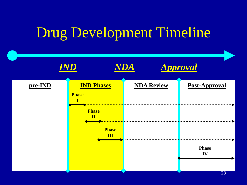## Drug Development Timeline

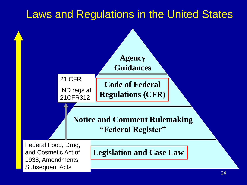## Laws and Regulations in the United States

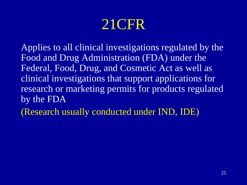## 21CFR

Applies to all clinical investigations regulated by the Food and Drug Administration (FDA) under the Federal, Food, Drug, and Cosmetic Act as well as clinical investigations that support applications for research or marketing permits for products regulated by the FDA

(Research usually conducted under IND, IDE)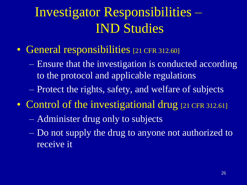## Investigator Responsibilities – IND Studies

- General responsibilities [21 CFR 312.60]
	- Ensure that the investigation is conducted according to the protocol and applicable regulations
	- Protect the rights, safety, and welfare of subjects
- Control of the investigational drug [21 CFR 312.61]
	- Administer drug only to subjects
	- Do not supply the drug to anyone not authorized to receive it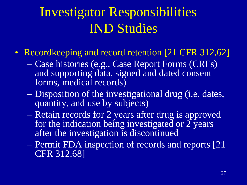## Investigator Responsibilities – IND Studies

- Recordkeeping and record retention [21 CFR 312.62]
	- Case histories (e.g., Case Report Forms (CRFs) and supporting data, signed and dated consent forms, medical records)
	- Disposition of the investigational drug (i.e. dates, quantity, and use by subjects)
	- Retain records for 2 years after drug is approved for the indication being investigated or 2 years after the investigation is discontinued
	- Permit FDA inspection of records and reports [21 CFR 312.68]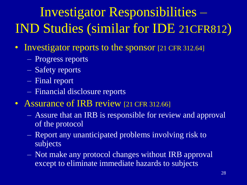## Investigator Responsibilities – IND Studies (similar for IDE 21CFR812)

- Investigator reports to the sponsor [21 CFR 312.64]
	- Progress reports
	- Safety reports
	- Final report
	- Financial disclosure reports
- Assurance of IRB review [21 CFR 312.66]
	- Assure that an IRB is responsible for review and approval of the protocol
	- Report any unanticipated problems involving risk to subjects
	- Not make any protocol changes without IRB approval except to eliminate immediate hazards to subjects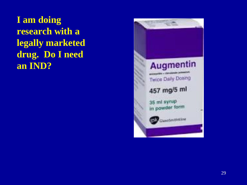**I am doing research with a legally marketed drug. Do I need an IND?**

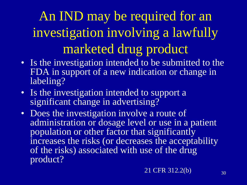# An IND may be required for an investigation involving a lawfully marketed drug product

- Is the investigation intended to be submitted to the FDA in support of a new indication or change in labeling?
- Is the investigation intended to support a significant change in advertising?
- Does the investigation involve a route of administration or dosage level or use in a patient population or other factor that significantly increases the risks (or decreases the acceptability of the risks) associated with use of the drug product?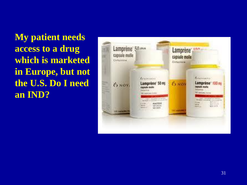**My patient needs access to a drug which is marketed in Europe, but not the U.S. Do I need an IND?**

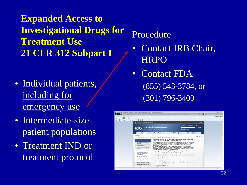**Expanded Access to Investigational Drugs for Treatment Use 21 CFR 312 Subpart I**

- Individual patients, including for emergency use
- Intermediate-size patient populations
- Treatment IND or treatment protocol

### Procedure

- Contact IRB Chair, **HRPO**
- Contact FDA (855) 543-3784, or (301) 796-3400

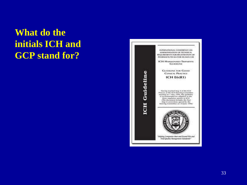### **What do the initials ICH and GCP stand for?**

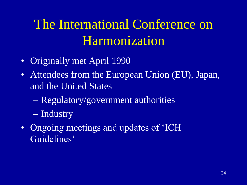## The International Conference on Harmonization

- Originally met April 1990
- Attendees from the European Union (EU), Japan, and the United States
	- Regulatory/government authorities
	- Industry
- Ongoing meetings and updates of 'ICH Guidelines'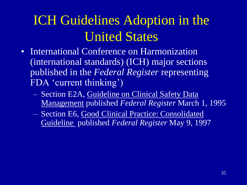## ICH Guidelines Adoption in the United States

- International Conference on Harmonization (international standards) (ICH) major sections published in the *Federal Register* representing FDA 'current thinking')
	- Section E2A, Guideline on Clinical Safety Data Management published *Federal Register* March 1, 1995
	- Section E6, Good Clinical Practice: Consolidated Guideline published *Federal Register* May 9, 1997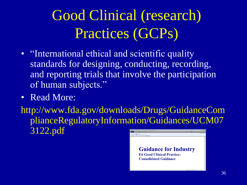# Good Clinical (research) Practices (GCPs)

- "International ethical and scientific quality standards for designing, conducting, recording, and reporting trials that involve the participation of human subjects."
- Read More:

http://www.fda.gov/downloads/Drugs/GuidanceCom plianceRegulatoryInformation/Guidances/UCM07 3122.pdf